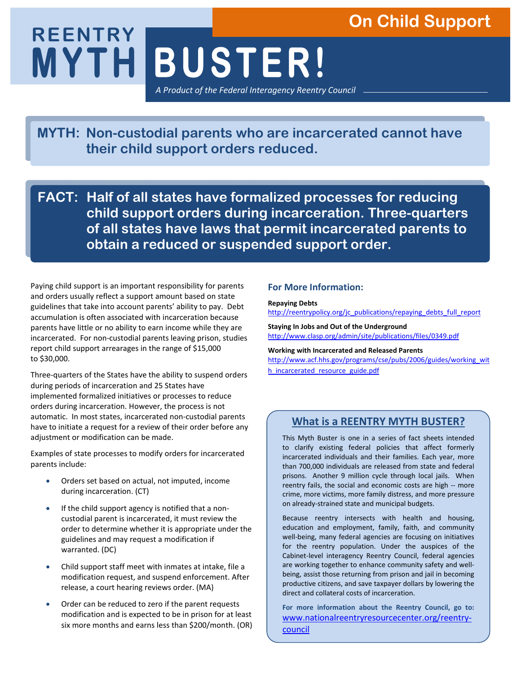# **On Child Support**

**MYTH BUSTER! REENTRY**  *A Product of the Federal Interagency Reentry Council*

**MYTH: Non-custodial parents who are incarcerated cannot have their child support orders reduced.** 

**FACT: Half of all states have formalized processes for reducing child support orders during incarceration. Three-quarters of all states have laws that permit incarcerated parents to obtain a reduced or suspended support order.** 

Paying child support is an important responsibility for parents and orders usually reflect a support amount based on state guidelines that take into account parents' ability to pay. Debt accumulation is often associated with incarceration because parents have little or no ability to earn income while they are incarcerated. For non-custodial parents leaving prison, studies report child support arrearages in the range of \$15,000 to \$30,000.

Three-quarters of the States have the ability to suspend orders during periods of incarceration and 25 States have implemented formalized initiatives or processes to reduce orders during incarceration. However, the process is not automatic. In most states, incarcerated non-custodial parents have to initiate a request for a review of their order before any adjustment or modification can be made.

Examples of state processes to modify orders for incarcerated parents include:

- Orders set based on actual, not imputed, income during incarceration. (CT)
- If the child support agency is notified that a noncustodial parent is incarcerated, it must review the order to determine whether it is appropriate under the guidelines and may request a modification if warranted. (DC)
- Child support staff meet with inmates at intake, file a modification request, and suspend enforcement. After release, a court hearing reviews order. (MA)
- Order can be reduced to zero if the parent requests modification and is expected to be in prison for at least six more months and earns less than \$200/month. (OR)

### **For More Information:**

#### **Repaying Debts**

http://reentrypolicy.org/jc\_publications/repaying\_debts\_full\_report

**Staying In Jobs and Out of the Underground** http://www.clasp.org/admin/site/publications/files/0349.pdf

#### **Working with Incarcerated and Released Parents**  http://www.acf.hhs.gov/programs/cse/pubs/2006/guides/working\_wit

h\_incarcerated\_resource\_guide.pdf

## **What is a REENTRY MYTH BUSTER?**

This Myth Buster is one in a series of fact sheets intended to clarify existing federal policies that affect formerly incarcerated individuals and their families. Each year, more than 700,000 individuals are released from state and federal prisons. Another 9 million cycle through local jails. When reentry fails, the social and economic costs are high -- more crime, more victims, more family distress, and more pressure on already-strained state and municipal budgets.

Because reentry intersects with health and housing, education and employment, family, faith, and community well-being, many federal agencies are focusing on initiatives for the reentry population. Under the auspices of the Cabinet-level interagency Reentry Council, federal agencies are working together to enhance community safety and wellbeing, assist those returning from prison and jail in becoming productive citizens, and save taxpayer dollars by lowering the direct and collateral costs of incarceration.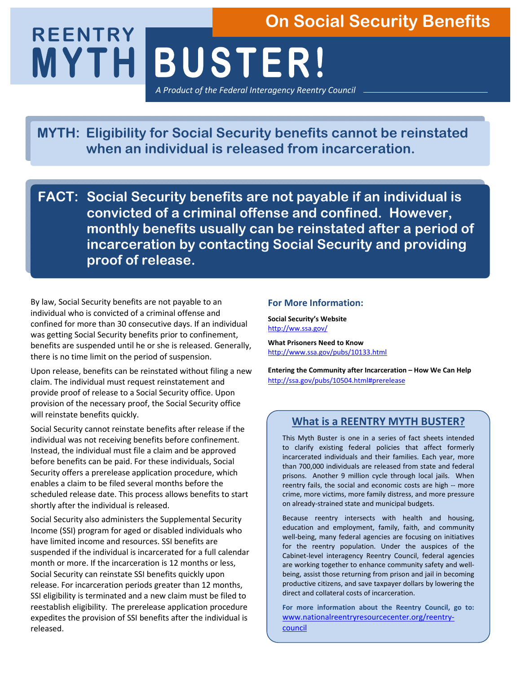# **MYTH BUSTER! REENTRY On Social Security Benefits**

*A Product of the Federal Interagency Reentry Council*

**MYTH: Eligibility for Social Security benefits cannot be reinstated when an individual is released from incarceration.** 

**FACT: Social Security benefits are not payable if an individual is convicted of a criminal offense and confined. However, monthly benefits usually can be reinstated after a period of incarceration by contacting Social Security and providing proof of release.** 

By law, Social Security benefits are not payable to an individual who is convicted of a criminal offense and confined for more than 30 consecutive days. If an individual was getting Social Security benefits prior to confinement, benefits are suspended until he or she is released. Generally, there is no time limit on the period of suspension.

Upon release, benefits can be reinstated without filing a new claim. The individual must request reinstatement and provide proof of release to a Social Security office. Upon provision of the necessary proof, the Social Security office will reinstate benefits quickly.

Social Security cannot reinstate benefits after release if the individual was not receiving benefits before confinement. Instead, the individual must file a claim and be approved before benefits can be paid. For these individuals, Social Security offers a prerelease application procedure, which enables a claim to be filed several months before the scheduled release date. This process allows benefits to start shortly after the individual is released.

Social Security also administers the Supplemental Security Income (SSI) program for aged or disabled individuals who have limited income and resources. SSI benefits are suspended if the individual is incarcerated for a full calendar month or more. If the incarceration is 12 months or less, Social Security can reinstate SSI benefits quickly upon release. For incarceration periods greater than 12 months, SSI eligibility is terminated and a new claim must be filed to reestablish eligibility. The prerelease application procedure expedites the provision of SSI benefits after the individual is released.

#### **For More Information:**

**Social Security's Website**  http://ww.ssa.gov/

**What Prisoners Need to Know**  http://www.ssa.gov/pubs/10133.html

**Entering the Community after Incarceration – How We Can Help** http://ssa.gov/pubs/10504.html#prerelease

## **What is a REENTRY MYTH BUSTER?**

This Myth Buster is one in a series of fact sheets intended to clarify existing federal policies that affect formerly incarcerated individuals and their families. Each year, more than 700,000 individuals are released from state and federal prisons. Another 9 million cycle through local jails. When reentry fails, the social and economic costs are high -- more crime, more victims, more family distress, and more pressure on already-strained state and municipal budgets.

Because reentry intersects with health and housing, education and employment, family, faith, and community well-being, many federal agencies are focusing on initiatives for the reentry population. Under the auspices of the Cabinet-level interagency Reentry Council, federal agencies are working together to enhance community safety and wellbeing, assist those returning from prison and jail in becoming productive citizens, and save taxpayer dollars by lowering the direct and collateral costs of incarceration.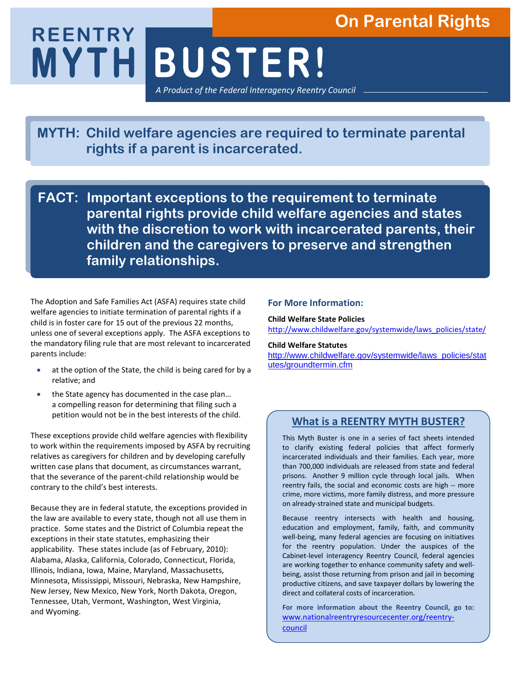# **On Parental Rights**

**MYTH BUSTER! REENTRY**  *A Product of the Federal Interagency Reentry Council*

**MYTH: Child welfare agencies are required to terminate parental rights if a parent is incarcerated.** 

**FACT: Important exceptions to the requirement to terminate parental rights provide child welfare agencies and states with the discretion to work with incarcerated parents, their children and the caregivers to preserve and strengthen family relationships.**

The Adoption and Safe Families Act (ASFA) requires state child welfare agencies to initiate termination of parental rights if a child is in foster care for 15 out of the previous 22 months, unless one of several exceptions apply. The ASFA exceptions to the mandatory filing rule that are most relevant to incarcerated parents include:

- at the option of the State, the child is being cared for by a relative; and
- the State agency has documented in the case plan... a compelling reason for determining that filing such a petition would not be in the best interests of the child.

These exceptions provide child welfare agencies with flexibility to work within the requirements imposed by ASFA by recruiting relatives as caregivers for children and by developing carefully written case plans that document, as circumstances warrant, that the severance of the parent-child relationship would be contrary to the child's best interests.

Because they are in federal statute, the exceptions provided in the law are available to every state, though not all use them in practice. Some states and the District of Columbia repeat the exceptions in their state statutes, emphasizing their applicability. These states include (as of February, 2010): Alabama, Alaska, California, Colorado, Connecticut, Florida, Illinois, Indiana, Iowa, Maine, Maryland, Massachusetts, Minnesota, Mississippi, Missouri, Nebraska, New Hampshire, New Jersey, New Mexico, New York, North Dakota, Oregon, Tennessee, Utah, Vermont, Washington, West Virginia, and Wyoming.

#### **For More Information:**

#### **Child Welfare State Policies**

http://www.childwelfare.gov/systemwide/laws\_policies/state/

#### **Child Welfare Statutes**

http://www.childwelfare.gov/systemwide/laws\_policies/stat utes/groundtermin.cfm

## **What is a REENTRY MYTH BUSTER?**

This Myth Buster is one in a series of fact sheets intended to clarify existing federal policies that affect formerly incarcerated individuals and their families. Each year, more than 700,000 individuals are released from state and federal prisons. Another 9 million cycle through local jails. When reentry fails, the social and economic costs are high -- more crime, more victims, more family distress, and more pressure on already-strained state and municipal budgets.

Because reentry intersects with health and housing, education and employment, family, faith, and community well-being, many federal agencies are focusing on initiatives for the reentry population. Under the auspices of the Cabinet-level interagency Reentry Council, federal agencies are working together to enhance community safety and wellbeing, assist those returning from prison and jail in becoming productive citizens, and save taxpayer dollars by lowering the direct and collateral costs of incarceration.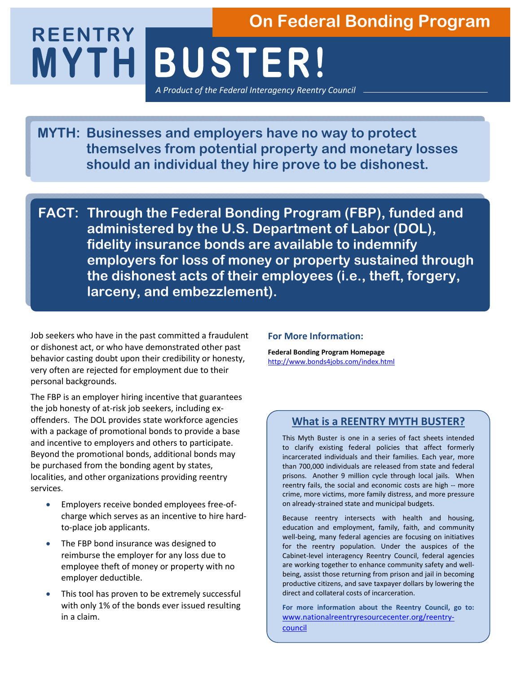# **MYTH BUSTER! REENTRY On Federal Bonding Program**

*A Product of the Federal Interagency Reentry Council*

**MYTH: Businesses and employers have no way to protect themselves from potential property and monetary losses should an individual they hire prove to be dishonest.**

**FACT: Through the Federal Bonding Program (FBP), funded and administered by the U.S. Department of Labor (DOL), fidelity insurance bonds are available to indemnify employers for loss of money or property sustained through the dishonest acts of their employees (i.e., theft, forgery, larceny, and embezzlement).** 

Job seekers who have in the past committed a fraudulent or dishonest act, or who have demonstrated other past behavior casting doubt upon their credibility or honesty, very often are rejected for employment due to their personal backgrounds.

The FBP is an employer hiring incentive that guarantees the job honesty of at-risk job seekers, including exoffenders. The DOL provides state workforce agencies with a package of promotional bonds to provide a base and incentive to employers and others to participate. Beyond the promotional bonds, additional bonds may be purchased from the bonding agent by states, localities, and other organizations providing reentry services.

- Employers receive bonded employees free-ofcharge which serves as an incentive to hire hardto-place job applicants.
- The FBP bond insurance was designed to reimburse the employer for any loss due to employee theft of money or property with no employer deductible.
- This tool has proven to be extremely successful with only 1% of the bonds ever issued resulting in a claim.

#### **For More Information:**

**Federal Bonding Program Homepage** http://www.bonds4jobs.com/index.html

## **What is a REENTRY MYTH BUSTER?**

This Myth Buster is one in a series of fact sheets intended to clarify existing federal policies that affect formerly incarcerated individuals and their families. Each year, more than 700,000 individuals are released from state and federal prisons. Another 9 million cycle through local jails. When reentry fails, the social and economic costs are high -- more crime, more victims, more family distress, and more pressure on already-strained state and municipal budgets.

Because reentry intersects with health and housing, education and employment, family, faith, and community well-being, many federal agencies are focusing on initiatives for the reentry population. Under the auspices of the Cabinet-level interagency Reentry Council, federal agencies are working together to enhance community safety and wellbeing, assist those returning from prison and jail in becoming productive citizens, and save taxpayer dollars by lowering the direct and collateral costs of incarceration.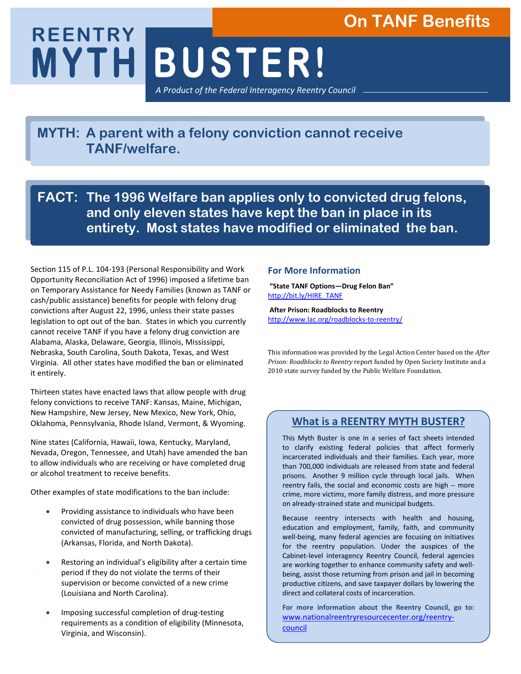# **On TANF Benefits**

**MYTH BUSTER! REENTRY**  *A Product of the Federal Interagency Reentry Council*

**MYTH: A parent with a felony conviction cannot receive TANF/welfare.** 

**FACT: The 1996 Welfare ban applies only to convicted drug felons, and only eleven states have kept the ban in place in its entirety. Most states have modified or eliminated the ban.**

Section 115 of P.L. 104-193 (Personal Responsibility and Work Opportunity Reconciliation Act of 1996) imposed a lifetime ban on Temporary Assistance for Needy Families (known as TANF or cash/public assistance) benefits for people with felony drug convictions after August 22, 1996, unless their state passes legislation to opt out of the ban. States in which you currently cannot receive TANF if you have a felony drug conviction are Alabama, Alaska, Delaware, Georgia, Illinois, Mississippi, Nebraska, South Carolina, South Dakota, Texas, and West Virginia. All other states have modified the ban or eliminated it entirely.

Thirteen states have enacted laws that allow people with drug felony convictions to receive TANF: Kansas, Maine, Michigan, New Hampshire, New Jersey, New Mexico, New York, Ohio, Oklahoma, Pennsylvania, Rhode Island, Vermont, & Wyoming.

Nine states (California, Hawaii, Iowa, Kentucky, Maryland, Nevada, Oregon, Tennessee, and Utah) have amended the ban to allow individuals who are receiving or have completed drug or alcohol treatment to receive benefits.

Other examples of state modifications to the ban include:

- Providing assistance to individuals who have been convicted of drug possession, while banning those convicted of manufacturing, selling, or trafficking drugs (Arkansas, Florida, and North Dakota).
- Restoring an individual's eligibility after a certain time period if they do not violate the terms of their supervision or become convicted of a new crime (Louisiana and North Carolina).
- Imposing successful completion of drug-testing requirements as a condition of eligibility (Minnesota, Virginia, and Wisconsin).

#### **For More Information**

 **"State TANF Options—Drug Felon Ban"** http://bit.ly/HIRE\_TANF

 **After Prison: Roadblocks to Reentry** http://www.lac.org/roadblocks-to-reentry/

This information was provided by the Legal Action Center based on the *After Prison: Roadblocks to Reentry* report funded by Open Society Institute and a 2010 state survey funded by the Public Welfare Foundation.

## **What is a REENTRY MYTH BUSTER?**

This Myth Buster is one in a series of fact sheets intended to clarify existing federal policies that affect formerly incarcerated individuals and their families. Each year, more than 700,000 individuals are released from state and federal prisons. Another 9 million cycle through local jails. When reentry fails, the social and economic costs are high -- more crime, more victims, more family distress, and more pressure on already-strained state and municipal budgets.

Because reentry intersects with health and housing, education and employment, family, faith, and community well-being, many federal agencies are focusing on initiatives for the reentry population. Under the auspices of the Cabinet-level interagency Reentry Council, federal agencies are working together to enhance community safety and wellbeing, assist those returning from prison and jail in becoming productive citizens, and save taxpayer dollars by lowering the direct and collateral costs of incarceration.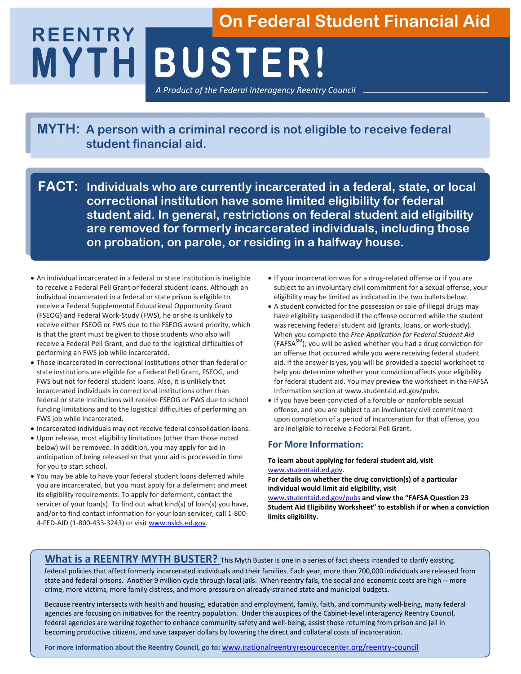# **MYTH BUSTER! REENTRY**  *A Product of the Federal Interagency Reentry Council* **On Federal Student Financial Aid**

**MYTH: A person with a criminal record is not eligible to receive federal student financial aid.**

**FACT: Individuals who are currently incarcerated in a federal, state, or local correctional institution have some limited eligibility for federal student aid. In general, restrictions on federal student aid eligibility are removed for formerly incarcerated individuals, including those on probation, on parole, or residing in a halfway house.** 

- An individual incarcerated in a federal or state institution is ineligible to receive a Federal Pell Grant or federal student loans. Although an individual incarcerated in a federal or state prison is eligible to receive a Federal Supplemental Educational Opportunity Grant (FSEOG) and Federal Work-Study (FWS), he or she is unlikely to receive either FSEOG or FWS due to the FSEOG award priority, which is that the grant must be given to those students who also will receive a Federal Pell Grant, and due to the logistical difficulties of performing an FWS job while incarcerated.
- Those incarcerated in correctional institutions other than federal or state institutions are eligible for a Federal Pell Grant, FSEOG, and FWS but not for federal student loans. Also, it is unlikely that incarcerated individuals in correctional institutions other than federal or state institutions will receive FSEOG or FWS due to school funding limitations and to the logistical difficulties of performing an FWS job while incarcerated.
- Incarcerated individuals may not receive federal consolidation loans.
- Upon release, most eligibility limitations (other than those noted below) will be removed. In addition, you may apply for aid in anticipation of being released so that your aid is processed in time for you to start school.
- You may be able to have your federal student loans deferred while you are incarcerated, but you must apply for a deferment and meet its eligibility requirements. To apply for deferment, contact the servicer of your loan(s). To find out what kind(s) of loan(s) you have, and/or to find contact information for your loan servicer, call 1-800- 4-FED-AID (1-800-433-3243) or visit www.nslds.ed.gov.
- If your incarceration was for a drug-related offense or if you are subject to an involuntary civil commitment for a sexual offense, your eligibility may be limited as indicated in the two bullets below.
- A student convicted for the possession or sale of illegal drugs may have eligibility suspended if the offense occurred while the student was receiving federal student aid (grants, loans, or work-study). When you complete the *Free Application for Federal Student Aid*  $(FAFSA<sup>SM</sup>)$ , you will be asked whether you had a drug conviction for an offense that occurred while you were receiving federal student aid. If the answer is yes, you will be provided a special worksheet to help you determine whether your conviction affects your eligibility for federal student aid. You may preview the worksheet in the FAFSA Information section at www.studentaid.ed.gov/pubs.
- If you have been convicted of a forcible or nonforcible sexual offense, and you are subject to an involuntary civil commitment upon completion of a period of incarceration for that offense, you are ineligible to receive a Federal Pell Grant.

#### **For More Information:**

**To learn about applying for federal student aid, visit** www.studentaid.ed.gov.

**For details on whether the drug conviction(s) of a particular individual would limit aid eligibility, visit** 

www.studentaid.ed.gov/pubs **and view the "FAFSA Question 23 Student Aid Eligibility Worksheet" to establish if or when a conviction limits eligibility.** 

#### **What is a REENTRY MYTH BUSTER?** This Myth Buster is one in a series of fact sheets intended to clarify existing federal policies that affect formerly incarcerated individuals and their families. Each year, more than 700,000 individuals are released from state and federal prisons. Another 9 million cycle through local jails. When reentry fails, the social and economic costs are high -- more crime, more victims, more family distress, and more pressure on already-strained state and municipal budgets.

Because reentry intersects with health and housing, education and employment, family, faith, and community well-being, many federal agencies are focusing on initiatives for the reentry population. Under the auspices of the Cabinet-level interagency Reentry Council, federal agencies are working together to enhance community safety and well-being, assist those returning from prison and jail in becoming productive citizens, and save taxpayer dollars by lowering the direct and collateral costs of incarceration.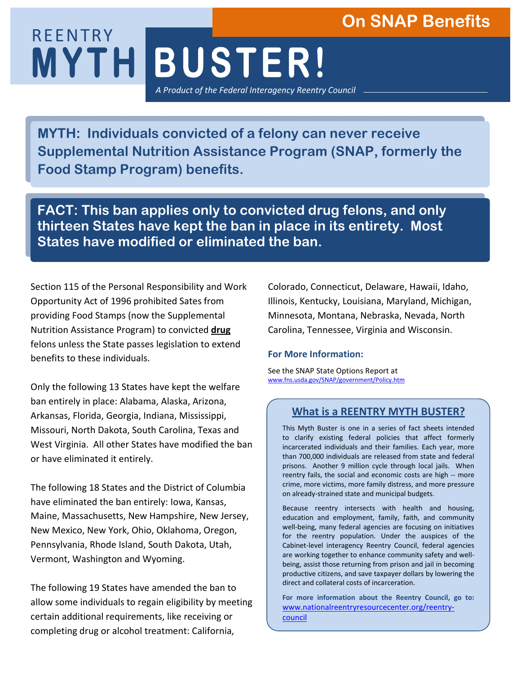# **On SNAP Benefits**

# **MYTH BUSTER!**  REENTRY *A Product of the Federal Interagency Reentry Council*

**MYTH: Individuals convicted of a felony can never receive Supplemental Nutrition Assistance Program (SNAP, formerly the Food Stamp Program) benefits.** 

**FACT: This ban applies only to convicted drug felons, and only thirteen States have kept the ban in place in its entirety. Most States have modified or eliminated the ban.**

Section 115 of the Personal Responsibility and Work Opportunity Act of 1996 prohibited Sates from providing Food Stamps (now the Supplemental Nutrition Assistance Program) to convicted **drug** felons unless the State passes legislation to extend benefits to these individuals.

Only the following 13 States have kept the welfare ban entirely in place: Alabama, Alaska, Arizona, Arkansas, Florida, Georgia, Indiana, Mississippi, Missouri, North Dakota, South Carolina, Texas and West Virginia. All other States have modified the ban or have eliminated it entirely.

The following 18 States and the District of Columbia have eliminated the ban entirely: Iowa, Kansas, Maine, Massachusetts, New Hampshire, New Jersey, New Mexico, New York, Ohio, Oklahoma, Oregon, Pennsylvania, Rhode Island, South Dakota, Utah, Vermont, Washington and Wyoming.

The following 19 States have amended the ban to allow some individuals to regain eligibility by meeting certain additional requirements, like receiving or completing drug or alcohol treatment: California,

Colorado, Connecticut, Delaware, Hawaii, Idaho, Illinois, Kentucky, Louisiana, Maryland, Michigan, Minnesota, Montana, Nebraska, Nevada, North Carolina, Tennessee, Virginia and Wisconsin.

#### **For More Information:**

See the SNAP State Options Report at www.fns.usda.gov/SNAP/government/Policy.htm

## **What is a REENTRY MYTH BUSTER?**

This Myth Buster is one in a series of fact sheets intended to clarify existing federal policies that affect formerly incarcerated individuals and their families. Each year, more than 700,000 individuals are released from state and federal prisons. Another 9 million cycle through local jails. When reentry fails, the social and economic costs are high -- more crime, more victims, more family distress, and more pressure on already-strained state and municipal budgets.

Because reentry intersects with health and housing, education and employment, family, faith, and community well-being, many federal agencies are focusing on initiatives for the reentry population. Under the auspices of the Cabinet-level interagency Reentry Council, federal agencies are working together to enhance community safety and wellbeing, assist those returning from prison and jail in becoming productive citizens, and save taxpayer dollars by lowering the direct and collateral costs of incarceration.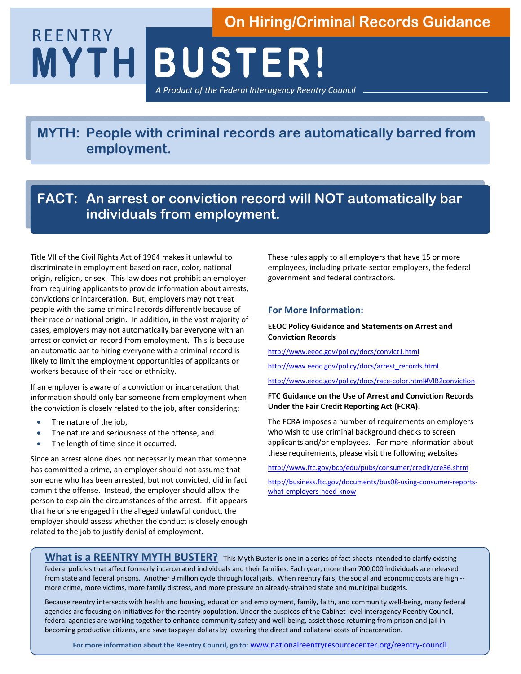# **MYTH BUSTER!**  REENTRY **On Hiring/Criminal Records Guidance**

*A Product of the Federal Interagency Reentry Council*

**MYTH: People with criminal records are automatically barred from employment.** 

## **FACT: An arrest or conviction record will NOT automatically bar individuals from employment.**

Title VII of the Civil Rights Act of 1964 makes it unlawful to discriminate in employment based on race, color, national origin, religion, or sex. This law does not prohibit an employer from requiring applicants to provide information about arrests, convictions or incarceration. But, employers may not treat people with the same criminal records differently because of their race or national origin. In addition, in the vast majority of cases, employers may not automatically bar everyone with an arrest or conviction record from employment. This is because an automatic bar to hiring everyone with a criminal record is likely to limit the employment opportunities of applicants or workers because of their race or ethnicity.

If an employer is aware of a conviction or incarceration, that information should only bar someone from employment when the conviction is closely related to the job, after considering:

- The nature of the job,
- The nature and seriousness of the offense, and
- The length of time since it occurred.

Since an arrest alone does not necessarily mean that someone has committed a crime, an employer should not assume that someone who has been arrested, but not convicted, did in fact commit the offense. Instead, the employer should allow the person to explain the circumstances of the arrest. If it appears that he or she engaged in the alleged unlawful conduct, the employer should assess whether the conduct is closely enough related to the job to justify denial of employment.

These rules apply to all employers that have 15 or more employees, including private sector employers, the federal government and federal contractors.

#### **For More Information:**

#### **EEOC Policy Guidance and Statements on Arrest and Conviction Records**

http://www.eeoc.gov/policy/docs/convict1.html

http://www.eeoc.gov/policy/docs/arrest\_records.html

http://www.eeoc.gov/policy/docs/race-color.html#VIB2conviction

#### **FTC Guidance on the Use of Arrest and Conviction Records Under the Fair Credit Reporting Act (FCRA).**

The FCRA imposes a number of requirements on employers who wish to use criminal background checks to screen applicants and/or employees. For more information about these requirements, please visit the following websites:

http://www.ftc.gov/bcp/edu/pubs/consumer/credit/cre36.shtm

http://business.ftc.gov/documents/bus08-using-consumer-reportswhat-employers-need-know

What is a REENTRY MYTH BUSTER? This Myth Buster is one in a series of fact sheets intended to clarify existing federal policies that affect formerly incarcerated individuals and their families. Each year, more than 700,000 individuals are released from state and federal prisons. Another 9 million cycle through local jails. When reentry fails, the social and economic costs are high -more crime, more victims, more family distress, and more pressure on already-strained state and municipal budgets.

Because reentry intersects with health and housing, education and employment, family, faith, and community well-being, many federal agencies are focusing on initiatives for the reentry population. Under the auspices of the Cabinet-level interagency Reentry Council, federal agencies are working together to enhance community safety and well-being, assist those returning from prison and jail in becoming productive citizens, and save taxpayer dollars by lowering the direct and collateral costs of incarceration.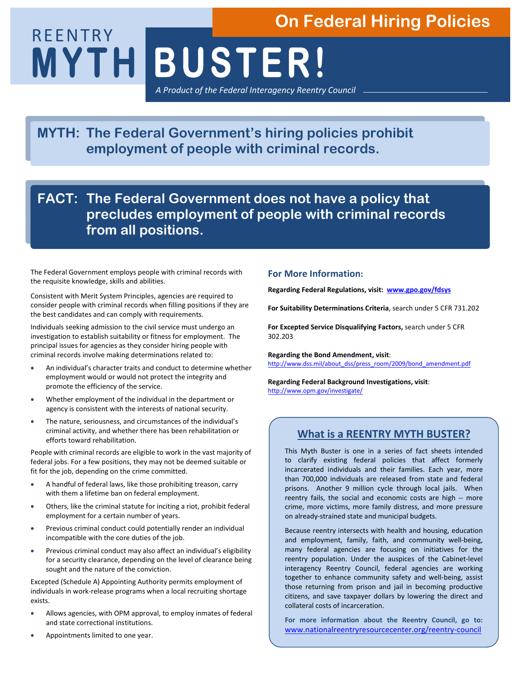# **On Federal Hiring Policies**

**MYTH BUSTER!** 

*A Product of the Federal Interagency Reentry Council*

**MYTH: The Federal Government's hiring policies prohibit employment of people with criminal records.** 

**FACT: The Federal Government does not have a policy that precludes employment of people with criminal records from all positions.** 

The Federal Government employs people with criminal records with the requisite knowledge, skills and abilities.

REENTRY

Consistent with Merit System Principles, agencies are required to consider people with criminal records when filling positions if they are the best candidates and can comply with requirements.

Individuals seeking admission to the civil service must undergo an investigation to establish suitability or fitness for employment. The principal issues for agencies as they consider hiring people with criminal records involve making determinations related to:

- An individual's character traits and conduct to determine whether employment would or would not protect the integrity and promote the efficiency of the service.
- Whether employment of the individual in the department or agency is consistent with the interests of national security.
- The nature, seriousness, and circumstances of the individual's criminal activity, and whether there has been rehabilitation or efforts toward rehabilitation.

People with criminal records are eligible to work in the vast majority of federal jobs. For a few positions, they may not be deemed suitable or fit for the job, depending on the crime committed.

- A handful of federal laws, like those prohibiting treason, carry with them a lifetime ban on federal employment.
- Others, like the criminal statute for inciting a riot, prohibit federal employment for a certain number of years.
- Previous criminal conduct could potentially render an individual incompatible with the core duties of the job.
- Previous criminal conduct may also affect an individual's eligibility for a security clearance, depending on the level of clearance being sought and the nature of the conviction.

Excepted (Schedule A) Appointing Authority permits employment of individuals in work-release programs when a local recruiting shortage exists.

- Allows agencies, with OPM approval, to employ inmates of federal and state correctional institutions.
- Appointments limited to one year.

#### **For More Information:**

**Regarding Federal Regulations, visit: www.gpo.gov/fdsys** 

**For Suitability Determinations Criteria**, search under 5 CFR 731.202

**For Excepted Service Disqualifying Factors,** search under 5 CFR 302.203

**Regarding the Bond Amendment, visit**: http://www.dss.mil/about\_dss/press\_room/2009/bond\_amendment.pdf

**Regarding Federal Background Investigations, visit**: http://www.opm.gov/investigate/

### **What is a REENTRY MYTH BUSTER?**

This Myth Buster is one in a series of fact sheets intended to clarify existing federal policies that affect formerly incarcerated individuals and their families. Each year, more than 700,000 individuals are released from state and federal prisons. Another 9 million cycle through local jails. When reentry fails, the social and economic costs are high -- more crime, more victims, more family distress, and more pressure on already-strained state and municipal budgets.

Because reentry intersects with health and housing, education and employment, family, faith, and community well-being, many federal agencies are focusing on initiatives for the reentry population. Under the auspices of the Cabinet-level interagency Reentry Council, federal agencies are working together to enhance community safety and well-being, assist those returning from prison and jail in becoming productive citizens, and save taxpayer dollars by lowering the direct and collateral costs of incarceration.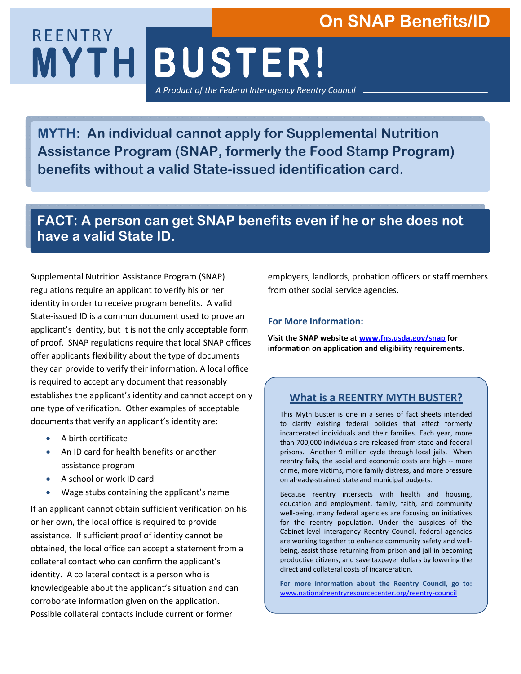# **On SNAP Benefits/ID**

**MYTH BUSTER!**  REENTRY *A Product of the Federal Interagency Reentry Council*

**MYTH: An individual cannot apply for Supplemental Nutrition Assistance Program (SNAP, formerly the Food Stamp Program) benefits without a valid State-issued identification card.** 

## **FACT: A person can get SNAP benefits even if he or she does not have a valid State ID.**

Supplemental Nutrition Assistance Program (SNAP) regulations require an applicant to verify his or her identity in order to receive program benefits. A valid State-issued ID is a common document used to prove an applicant's identity, but it is not the only acceptable form of proof. SNAP regulations require that local SNAP offices offer applicants flexibility about the type of documents they can provide to verify their information. A local office is required to accept any document that reasonably establishes the applicant's identity and cannot accept only one type of verification. Other examples of acceptable documents that verify an applicant's identity are:

- A birth certificate
- An ID card for health benefits or another assistance program
- A school or work ID card
- Wage stubs containing the applicant's name

If an applicant cannot obtain sufficient verification on his or her own, the local office is required to provide assistance. If sufficient proof of identity cannot be obtained, the local office can accept a statement from a collateral contact who can confirm the applicant's identity. A collateral contact is a person who is knowledgeable about the applicant's situation and can corroborate information given on the application. Possible collateral contacts include current or former

employers, landlords, probation officers or staff members from other social service agencies.

#### **For More Information:**

**Visit the SNAP website at www.fns.usda.gov/snap for information on application and eligibility requirements.** 

## **What is a REENTRY MYTH BUSTER?**

This Myth Buster is one in a series of fact sheets intended to clarify existing federal policies that affect formerly incarcerated individuals and their families. Each year, more than 700,000 individuals are released from state and federal prisons. Another 9 million cycle through local jails. When reentry fails, the social and economic costs are high -- more crime, more victims, more family distress, and more pressure on already-strained state and municipal budgets.

Because reentry intersects with health and housing, education and employment, family, faith, and community well-being, many federal agencies are focusing on initiatives for the reentry population. Under the auspices of the Cabinet-level interagency Reentry Council, federal agencies are working together to enhance community safety and wellbeing, assist those returning from prison and jail in becoming productive citizens, and save taxpayer dollars by lowering the direct and collateral costs of incarceration.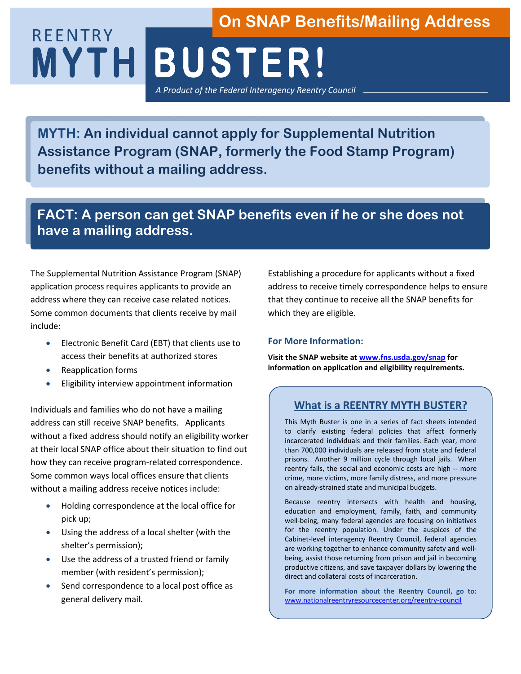# **MYTH BUSTER!**  REENTRY *A Product of the Federal Interagency Reentry Council* **On SNAP Benefits/Mailing Address**

**MYTH: An individual cannot apply for Supplemental Nutrition Assistance Program (SNAP, formerly the Food Stamp Program) benefits without a mailing address.**

## **FACT: A person can get SNAP benefits even if he or she does not have a mailing address.**

The Supplemental Nutrition Assistance Program (SNAP) application process requires applicants to provide an address where they can receive case related notices. Some common documents that clients receive by mail include:

- Electronic Benefit Card (EBT) that clients use to access their benefits at authorized stores
- Reapplication forms
- Eligibility interview appointment information

Individuals and families who do not have a mailing address can still receive SNAP benefits. Applicants without a fixed address should notify an eligibility worker at their local SNAP office about their situation to find out how they can receive program-related correspondence. Some common ways local offices ensure that clients without a mailing address receive notices include:

- Holding correspondence at the local office for pick up;
- Using the address of a local shelter (with the shelter's permission);
- Use the address of a trusted friend or family member (with resident's permission);
- Send correspondence to a local post office as general delivery mail.

Establishing a procedure for applicants without a fixed address to receive timely correspondence helps to ensure that they continue to receive all the SNAP benefits for which they are eligible.

#### **For More Information:**

**Visit the SNAP website at www.fns.usda.gov/snap for information on application and eligibility requirements.** 

## **What is a REENTRY MYTH BUSTER?**

This Myth Buster is one in a series of fact sheets intended to clarify existing federal policies that affect formerly incarcerated individuals and their families. Each year, more than 700,000 individuals are released from state and federal prisons. Another 9 million cycle through local jails. When reentry fails, the social and economic costs are high -- more crime, more victims, more family distress, and more pressure on already-strained state and municipal budgets.

Because reentry intersects with health and housing, education and employment, family, faith, and community well-being, many federal agencies are focusing on initiatives for the reentry population. Under the auspices of the Cabinet-level interagency Reentry Council, federal agencies are working together to enhance community safety and wellbeing, assist those returning from prison and jail in becoming productive citizens, and save taxpayer dollars by lowering the direct and collateral costs of incarceration.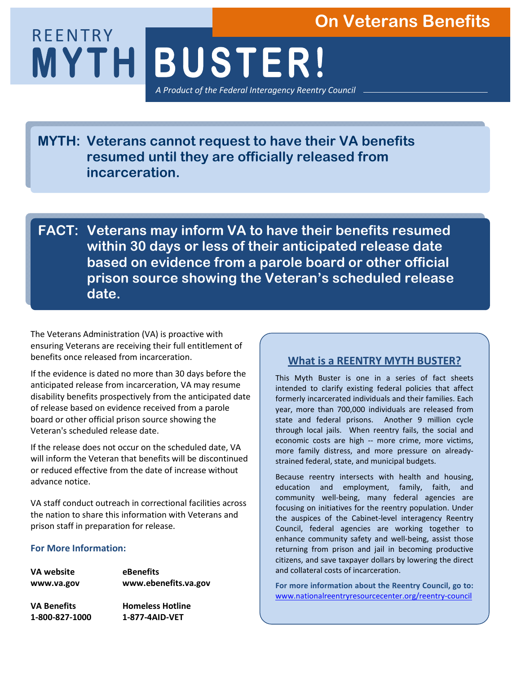## **On Veterans Benefits**

**MYTH BUSTER!** REENTRY *A Product of the Federal Interagency Reentry Council*

**MYTH: Veterans cannot request to have their VA benefits resumed until they are officially released from incarceration.** 

**FACT: Veterans may inform VA to have their benefits resumed within 30 days or less of their anticipated release date based on evidence from a parole board or other official prison source showing the Veteran's scheduled release date.** 

The Veterans Administration (VA) is proactive with ensuring Veterans are receiving their full entitlement of benefits once released from incarceration.

If the evidence is dated no more than 30 days before the anticipated release from incarceration, VA may resume disability benefits prospectively from the anticipated date of release based on evidence received from a parole board or other official prison source showing the Veteran's scheduled release date.

If the release does not occur on the scheduled date, VA will inform the Veteran that benefits will be discontinued or reduced effective from the date of increase without advance notice.

VA staff conduct outreach in correctional facilities across the nation to share this information with Veterans and prison staff in preparation for release.

#### **For More Information:**

| VA website         | eBenefits               |
|--------------------|-------------------------|
| www.va.gov         | www.ebenefits.va.gov    |
| <b>VA Benefits</b> | <b>Homeless Hotline</b> |
| 1-800-827-1000     | 1-877-4AID-VET          |

## **What is a REENTRY MYTH BUSTER?**

This Myth Buster is one in a series of fact sheets intended to clarify existing federal policies that affect formerly incarcerated individuals and their families. Each year, more than 700,000 individuals are released from state and federal prisons. Another 9 million cycle through local jails. When reentry fails, the social and economic costs are high -- more crime, more victims, more family distress, and more pressure on alreadystrained federal, state, and municipal budgets.

Because reentry intersects with health and housing, education and employment, family, faith, and community well-being, many federal agencies are focusing on initiatives for the reentry population. Under the auspices of the Cabinet-level interagency Reentry Council, federal agencies are working together to enhance community safety and well-being, assist those returning from prison and jail in becoming productive citizens, and save taxpayer dollars by lowering the direct and collateral costs of incarceration.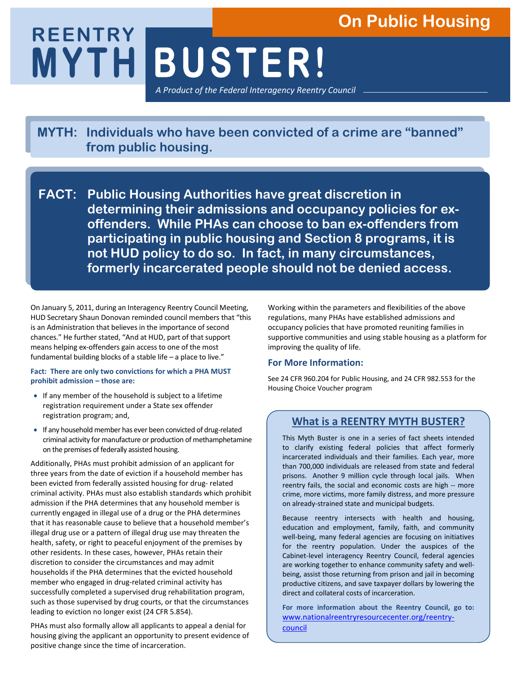# **On Public Housing**

# **MYTH BUSTER! REENTRY**  *A Product of the Federal Interagency Reentry Council*

**MYTH: Individuals who have been convicted of a crime are "banned" from public housing.** 

**FACT: Public Housing Authorities have great discretion in determining their admissions and occupancy policies for exoffenders. While PHAs can choose to ban ex-offenders from participating in public housing and Section 8 programs, it is not HUD policy to do so. In fact, in many circumstances, formerly incarcerated people should not be denied access.** 

On January 5, 2011, during an Interagency Reentry Council Meeting, HUD Secretary Shaun Donovan reminded council members that "this is an Administration that believes in the importance of second chances." He further stated, "And at HUD, part of that support means helping ex-offenders gain access to one of the most fundamental building blocks of a stable life – a place to live."

#### **Fact: There are only two convictions for which a PHA MUST prohibit admission – those are:**

- If any member of the household is subject to a lifetime registration requirement under a State sex offender registration program; and,
- If any household member has ever been convicted of drug-related criminal activity for manufacture or production of methamphetamine on the premises of federally assisted housing.

Additionally, PHAs must prohibit admission of an applicant for three years from the date of eviction if a household member has been evicted from federally assisted housing for drug- related criminal activity. PHAs must also establish standards which prohibit admission if the PHA determines that any household member is currently engaged in illegal use of a drug or the PHA determines that it has reasonable cause to believe that a household member's illegal drug use or a pattern of illegal drug use may threaten the health, safety, or right to peaceful enjoyment of the premises by other residents. In these cases, however, PHAs retain their discretion to consider the circumstances and may admit households if the PHA determines that the evicted household member who engaged in drug-related criminal activity has successfully completed a supervised drug rehabilitation program, such as those supervised by drug courts, or that the circumstances leading to eviction no longer exist (24 CFR 5.854).

PHAs must also formally allow all applicants to appeal a denial for housing giving the applicant an opportunity to present evidence of positive change since the time of incarceration.

Working within the parameters and flexibilities of the above regulations, many PHAs have established admissions and occupancy policies that have promoted reuniting families in supportive communities and using stable housing as a platform for improving the quality of life.

#### **For More Information:**

See 24 CFR 960.204 for Public Housing, and 24 CFR 982.553 for the Housing Choice Voucher program

## **What is a REENTRY MYTH BUSTER?**

This Myth Buster is one in a series of fact sheets intended to clarify existing federal policies that affect formerly incarcerated individuals and their families. Each year, more than 700,000 individuals are released from state and federal prisons. Another 9 million cycle through local jails. When reentry fails, the social and economic costs are high -- more crime, more victims, more family distress, and more pressure on already-strained state and municipal budgets.

Because reentry intersects with health and housing, education and employment, family, faith, and community well-being, many federal agencies are focusing on initiatives for the reentry population. Under the auspices of the Cabinet-level interagency Reentry Council, federal agencies are working together to enhance community safety and wellbeing, assist those returning from prison and jail in becoming productive citizens, and save taxpayer dollars by lowering the direct and collateral costs of incarceration.